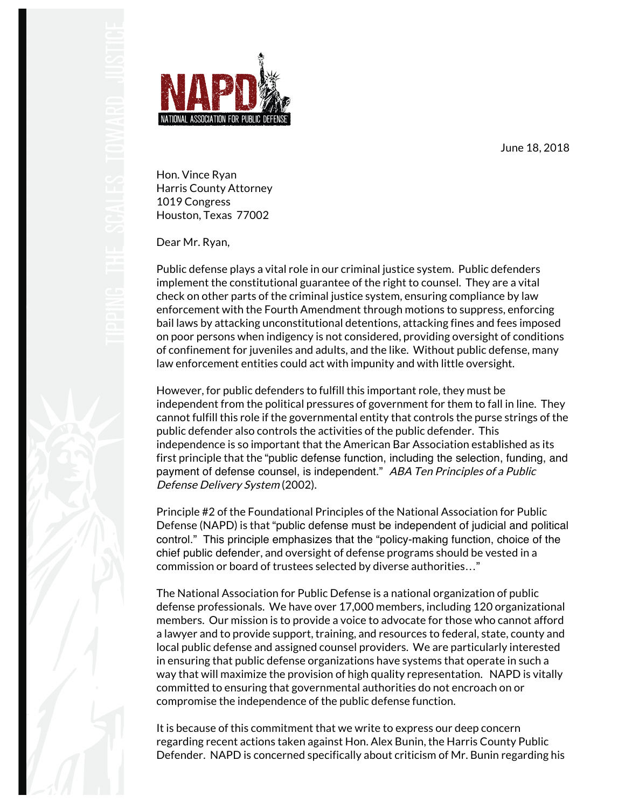June 18, 2018



Hon. Vince Ryan Harris County Attorney 1019 Congress Houston, Texas 77002

Dear Mr. Ryan,

Public defense plays a vital role in our criminal justice system. Public defenders implement the constitutional guarantee of the right to counsel. They are a vital check on other parts of the criminal justice system, ensuring compliance by law enforcement with the Fourth Amendment through motions to suppress, enforcing bail laws by attacking unconstitutional detentions, attacking fines and fees imposed on poor persons when indigency is not considered, providing oversight of conditions of confinement for juveniles and adults, and the like. Without public defense, many law enforcement entities could act with impunity and with little oversight.

However, for public defenders to fulfill this important role, they must be independent from the political pressures of government for them to fall in line. They cannot fulfill this role if the governmental entity that controls the purse strings of the public defender also controls the activities of the public defender. This independence is so important that the American Bar Association established as its first principle that the "public defense function, including the selection, funding, and payment of defense counsel, is independent." ABA Ten Principles of a Public Defense Delivery System (2002).

Principle #2 of the Foundational Principles of the National Association for Public Defense (NAPD) is that "public defense must be independent of judicial and political control." This principle emphasizes that the "policy-making function, choice of the chief public defender, and oversight of defense programs should be vested in a commission or board of trustees selected by diverse authorities…"

The National Association for Public Defense is a national organization of public defense professionals. We have over 17,000 members, including 120 organizational members. Our mission is to provide a voice to advocate for those who cannot afford a lawyer and to provide support, training, and resources to federal, state, county and local public defense and assigned counsel providers. We are particularly interested in ensuring that public defense organizations have systems that operate in such a way that will maximize the provision of high quality representation. NAPD is vitally committed to ensuring that governmental authorities do not encroach on or compromise the independence of the public defense function.

It is because of this commitment that we write to express our deep concern regarding recent actions taken against Hon. Alex Bunin, the Harris County Public Defender. NAPD is concerned specifically about criticism of Mr. Bunin regarding his